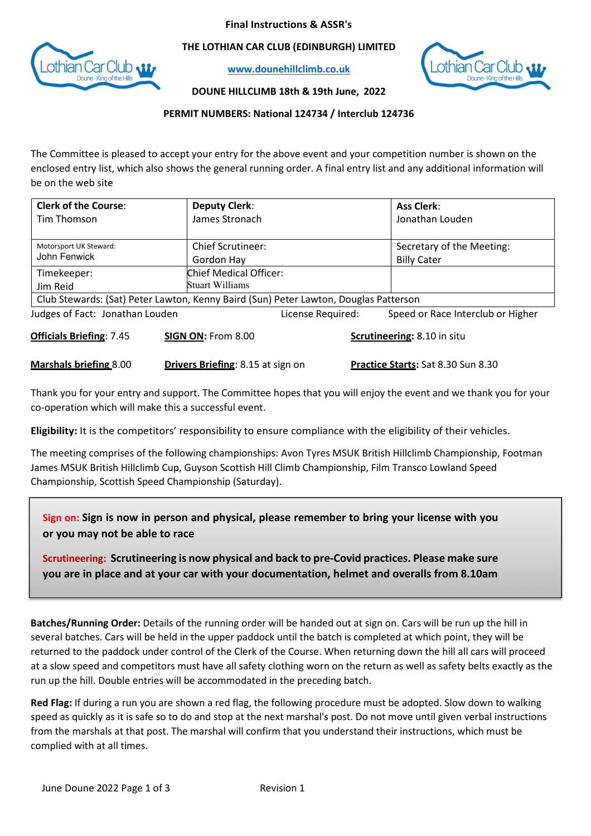## Final Instructions & ASSR's



THE LOTHIAN CAR CLUB (EDINBURGH) LIMITED

www.dounehillclimb.co.uk



DOUNE HILLCLIMB 18th & 19th June, 2022

## PERMIT NUMBERS: National 124734 / Interclub 124736

The Committee is pleased to accept your entry for the above event and your competition number is shown on the enclosed entry list, which also shows the general running order. A final entry list and any additional information will be on the web site

| <b>Clerk of the Course:</b>                                                          | <b>Deputy Clerk:</b>     |                   | <b>Ass Clerk:</b>                         |  |
|--------------------------------------------------------------------------------------|--------------------------|-------------------|-------------------------------------------|--|
| Tim Thomson                                                                          | James Stronach           |                   | Jonathan Louden                           |  |
|                                                                                      |                          |                   |                                           |  |
| Motorsport UK Steward:<br>John Fenwick                                               | <b>Chief Scrutineer:</b> |                   | Secretary of the Meeting:                 |  |
|                                                                                      | Gordon Hay               |                   | <b>Billy Cater</b>                        |  |
| Timekeeper:                                                                          | Chief Medical Officer:   |                   |                                           |  |
| Jim Reid                                                                             | Stuart Williams          |                   |                                           |  |
| Club Stewards: (Sat) Peter Lawton, Kenny Baird (Sun) Peter Lawton, Douglas Patterson |                          |                   |                                           |  |
| Judges of Fact: Jonathan Louden                                                      |                          | License Required: | Speed or Race Interclub or Higher         |  |
| <b>Officials Briefing: 7.45</b>                                                      | SIGN ON: From 8.00       |                   | <b>Scrutineering: 8.10 in situ</b>        |  |
| <b>Marshals briefing 8.00</b><br><b>Drivers Briefing: 8.15 at sign on</b>            |                          |                   | <b>Practice Starts: Sat 8.30 Sun 8.30</b> |  |

Thank you for your entry and support. The Committee hopes that you will enjoy the event and we thank you for your co-operation which will make this a successful event.

Eligibility: It is the competitors' responsibility to ensure compliance with the eligibility of their vehicles.

The meeting comprises of the following championships: Avon Tyres MSUK British Hillclimb Championship, Footman James MSUK British Hillclimb Cup, Guyson Scottish Hill Climb Championship, Film Transco Lowland Speed Championship, Scottish Speed Championship (Saturday).

Sign on: Sign is now in person and physical, please remember to bring your license with you or you may not be able to race

Scrutineering: Scrutineering is now physical and back to pre-Covid practices. Please make sure you are in place and at your car with your documentation, helmet and overalls from 8.10am

Batches/Running Order: Details of the running order will be handed out at sign on. Cars will be run up the hill in several batches. Cars will be held in the upper paddock until the batch is completed at which point, they will be returned to the paddock under control of the Clerk of the Course. When returning down the hill all cars will proceed at a slow speed and competitors must have all safety clothing worn on the return as well as safety belts exactly as the run up the hill. Double entries will be accommodated in the preceding batch.

Red Flag: If during a run you are shown a red flag, the following procedure must be adopted. Slow down to walking speed as quickly as it is safe so to do and stop at the next marshal's post. Do not move until given verbal instructions from the marshals at that post. The marshal will confirm that you understand their instructions, which must be complied with at all times.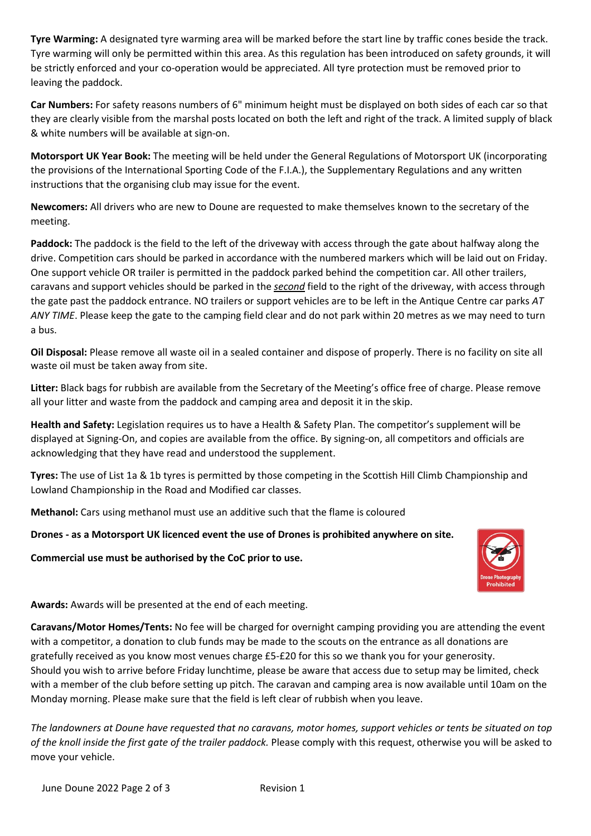Tyre Warming: A designated tyre warming area will be marked before the start line by traffic cones beside the track. Tyre warming will only be permitted within this area. As this regulation has been introduced on safety grounds, it will be strictly enforced and your co-operation would be appreciated. All tyre protection must be removed prior to leaving the paddock.

Car Numbers: For safety reasons numbers of 6" minimum height must be displayed on both sides of each car so that they are clearly visible from the marshal posts located on both the left and right of the track. A limited supply of black & white numbers will be available at sign-on.

Motorsport UK Year Book: The meeting will be held under the General Regulations of Motorsport UK (incorporating the provisions of the International Sporting Code of the F.I.A.), the Supplementary Regulations and any written instructions that the organising club may issue for the event.

Newcomers: All drivers who are new to Doune are requested to make themselves known to the secretary of the meeting.

Paddock: The paddock is the field to the left of the driveway with access through the gate about halfway along the drive. Competition cars should be parked in accordance with the numbered markers which will be laid out on Friday. One support vehicle OR trailer is permitted in the paddock parked behind the competition car. All other trailers, caravans and support vehicles should be parked in the second field to the right of the driveway, with access through the gate past the paddock entrance. NO trailers or support vehicles are to be left in the Antique Centre car parks AT ANY TIME. Please keep the gate to the camping field clear and do not park within 20 metres as we may need to turn a bus.

Oil Disposal: Please remove all waste oil in a sealed container and dispose of properly. There is no facility on site all waste oil must be taken away from site.

Litter: Black bags for rubbish are available from the Secretary of the Meeting's office free of charge. Please remove all your litter and waste from the paddock and camping area and deposit it in the skip.

Health and Safety: Legislation requires us to have a Health & Safety Plan. The competitor's supplement will be displayed at Signing-On, and copies are available from the office. By signing-on, all competitors and officials are acknowledging that they have read and understood the supplement.

Tyres: The use of List 1a & 1b tyres is permitted by those competing in the Scottish Hill Climb Championship and Lowland Championship in the Road and Modified car classes.

Methanol: Cars using methanol must use an additive such that the flame is coloured

Drones - as a Motorsport UK licenced event the use of Drones is prohibited anywhere on site.

Commercial use must be authorised by the CoC prior to use.



Awards: Awards will be presented at the end of each meeting.

Caravans/Motor Homes/Tents: No fee will be charged for overnight camping providing you are attending the event with a competitor, a donation to club funds may be made to the scouts on the entrance as all donations are gratefully received as you know most venues charge £5-£20 for this so we thank you for your generosity. Should you wish to arrive before Friday lunchtime, please be aware that access due to setup may be limited, check with a member of the club before setting up pitch. The caravan and camping area is now available until 10am on the Monday morning. Please make sure that the field is left clear of rubbish when you leave.

The landowners at Doune have requested that no caravans, motor homes, support vehicles or tents be situated on top of the knoll inside the first gate of the trailer paddock. Please comply with this request, otherwise you will be asked to move your vehicle.